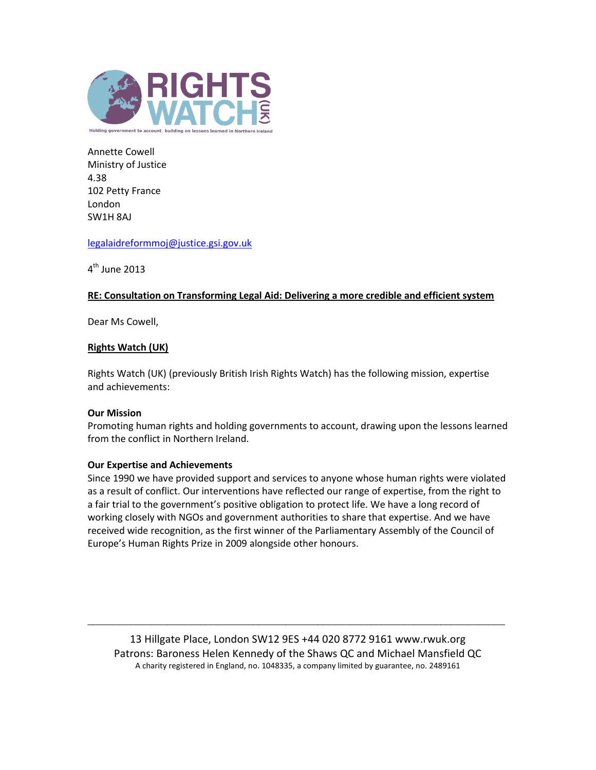

Annette Cowell Ministry of Justice 4.38 102 Petty France London SW1H 8AJ

[legalaidreformmoj@justice.gsi.gov.uk](mailto:legalaidreformmoj@justice.gsi.gov.uk)

4<sup>th</sup> June 2013

## **RE: Consultation on Transforming Legal Aid: Delivering a more credible and efficient system**

Dear Ms Cowell,

## **Rights Watch (UK)**

Rights Watch (UK) (previously British Irish Rights Watch) has the following mission, expertise and achievements:

### **Our Mission**

Promoting human rights and holding governments to account, drawing upon the lessons learned from the conflict in Northern Ireland.

### **Our Expertise and Achievements**

Since 1990 we have provided support and services to anyone whose human rights were violated as a result of conflict. Our interventions have reflected our range of expertise, from the right to a fair trial to the government's positive obligation to protect life. We have a long record of working closely with NGOs and government authorities to share that expertise. And we have received wide recognition, as the first winner of the Parliamentary Assembly of the Council of Europe's Human Rights Prize in 2009 alongside other honours.

13 Hillgate Place, London SW12 9ES +44 020 8772 9161 www.rwuk.org Patrons: Baroness Helen Kennedy of the Shaws QC and Michael Mansfield QC A charity registered in England, no. 1048335, a company limited by guarantee, no. 2489161

\_\_\_\_\_\_\_\_\_\_\_\_\_\_\_\_\_\_\_\_\_\_\_\_\_\_\_\_\_\_\_\_\_\_\_\_\_\_\_\_\_\_\_\_\_\_\_\_\_\_\_\_\_\_\_\_\_\_\_\_\_\_\_\_\_\_\_\_\_\_\_\_\_\_\_\_\_\_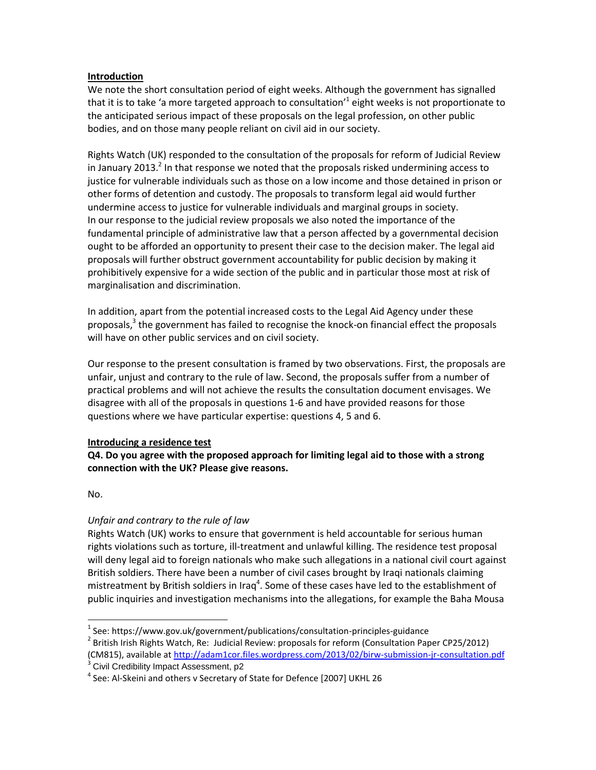## **Introduction**

We note the short consultation period of eight weeks. Although the government has signalled that it is to take 'a more targeted approach to consultation'<sup>1</sup> eight weeks is not proportionate to the anticipated serious impact of these proposals on the legal profession, on other public bodies, and on those many people reliant on civil aid in our society.

Rights Watch (UK) responded to the consultation of the proposals for reform of Judicial Review in January 2013.<sup>2</sup> In that response we noted that the proposals risked undermining access to justice for vulnerable individuals such as those on a low income and those detained in prison or other forms of detention and custody. The proposals to transform legal aid would further undermine access to justice for vulnerable individuals and marginal groups in society. In our response to the judicial review proposals we also noted the importance of the fundamental principle of administrative law that a person affected by a governmental decision ought to be afforded an opportunity to present their case to the decision maker. The legal aid proposals will further obstruct government accountability for public decision by making it prohibitively expensive for a wide section of the public and in particular those most at risk of marginalisation and discrimination.

In addition, apart from the potential increased costs to the Legal Aid Agency under these proposals,<sup>3</sup> the government has failed to recognise the knock-on financial effect the proposals will have on other public services and on civil society.

Our response to the present consultation is framed by two observations. First, the proposals are unfair, unjust and contrary to the rule of law. Second, the proposals suffer from a number of practical problems and will not achieve the results the consultation document envisages. We disagree with all of the proposals in questions 1-6 and have provided reasons for those questions where we have particular expertise: questions 4, 5 and 6.

### **Introducing a residence test**

**Q4. Do you agree with the proposed approach for limiting legal aid to those with a strong connection with the UK? Please give reasons.**

No.

# *Unfair and contrary to the rule of law*

Rights Watch (UK) works to ensure that government is held accountable for serious human rights violations such as torture, ill-treatment and unlawful killing. The residence test proposal will deny legal aid to foreign nationals who make such allegations in a national civil court against British soldiers. There have been a number of civil cases brought by Iraqi nationals claiming mistreatment by British soldiers in Iraq<sup>4</sup>. Some of these cases have led to the establishment of public inquiries and investigation mechanisms into the allegations, for example the Baha Mousa

 $^{1}$  See: https://www.gov.uk/government/publications/consultation-principles-guidance  $^2$  British Irish Rights Watch, Re: Judicial Review: proposals for reform (Consultation Paper CP25/2012) (CM815), available a[t http://adam1cor.files.wordpress.com/2013/02/birw-submission-jr-consultation.pdf](http://adam1cor.files.wordpress.com/2013/02/birw-submission-jr-consultation.pdf)

<sup>&</sup>lt;sup>3</sup> Civil Credibility Impact Assessment, p2

<sup>&</sup>lt;sup>4</sup> See: Al-Skeini and others v Secretary of State for Defence [2007] UKHL 26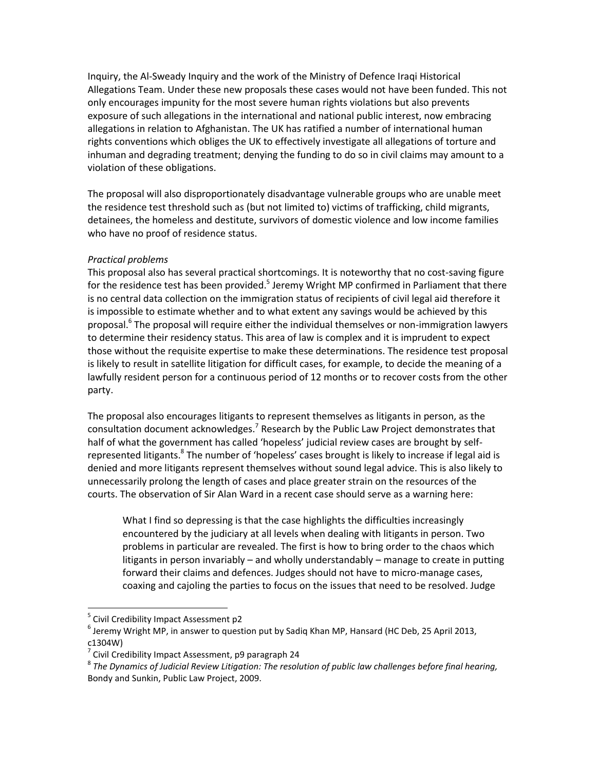Inquiry, the Al-Sweady Inquiry and the work of the Ministry of Defence Iraqi Historical Allegations Team. Under these new proposals these cases would not have been funded. This not only encourages impunity for the most severe human rights violations but also prevents exposure of such allegations in the international and national public interest, now embracing allegations in relation to Afghanistan. The UK has ratified a number of international human rights conventions which obliges the UK to effectively investigate all allegations of torture and inhuman and degrading treatment; denying the funding to do so in civil claims may amount to a violation of these obligations.

The proposal will also disproportionately disadvantage vulnerable groups who are unable meet the residence test threshold such as (but not limited to) victims of trafficking, child migrants, detainees, the homeless and destitute, survivors of domestic violence and low income families who have no proof of residence status.

#### *Practical problems*

This proposal also has several practical shortcomings. It is noteworthy that no cost-saving figure for the residence test has been provided.<sup>5</sup> Jeremy Wright MP confirmed in Parliament that there is no central data collection on the immigration status of recipients of civil legal aid therefore it is impossible to estimate whether and to what extent any savings would be achieved by this proposal.<sup>6</sup> The proposal will require either the individual themselves or non-immigration lawyers to determine their residency status. This area of law is complex and it is imprudent to expect those without the requisite expertise to make these determinations. The residence test proposal is likely to result in satellite litigation for difficult cases, for example, to decide the meaning of a lawfully resident person for a continuous period of 12 months or to recover costs from the other party.

The proposal also encourages litigants to represent themselves as litigants in person, as the consultation document acknowledges.<sup>7</sup> Research by the Public Law Project demonstrates that half of what the government has called 'hopeless' judicial review cases are brought by selfrepresented litigants.<sup>8</sup> The number of 'hopeless' cases brought is likely to increase if legal aid is denied and more litigants represent themselves without sound legal advice. This is also likely to unnecessarily prolong the length of cases and place greater strain on the resources of the courts. The observation of Sir Alan Ward in a recent case should serve as a warning here:

What I find so depressing is that the case highlights the difficulties increasingly encountered by the judiciary at all levels when dealing with litigants in person. Two problems in particular are revealed. The first is how to bring order to the chaos which litigants in person invariably – and wholly understandably – manage to create in putting forward their claims and defences. Judges should not have to micro-manage cases, coaxing and cajoling the parties to focus on the issues that need to be resolved. Judge

 $\overline{a}$ 

<sup>&</sup>lt;sup>5</sup> Civil Credibility Impact Assessment p2

 $^6$  Jeremy Wright MP, in answer to question put by Sadiq Khan MP, Hansard (HC Deb, 25 April 2013, c1304W)

 $\frac{7}{7}$  Civil Credibility Impact Assessment, p9 paragraph 24

 $^{\rm 8}$  The Dynamics of Judicial Review Litigation: The resolution of public law challenges before final hearing, Bondy and Sunkin, Public Law Project, 2009.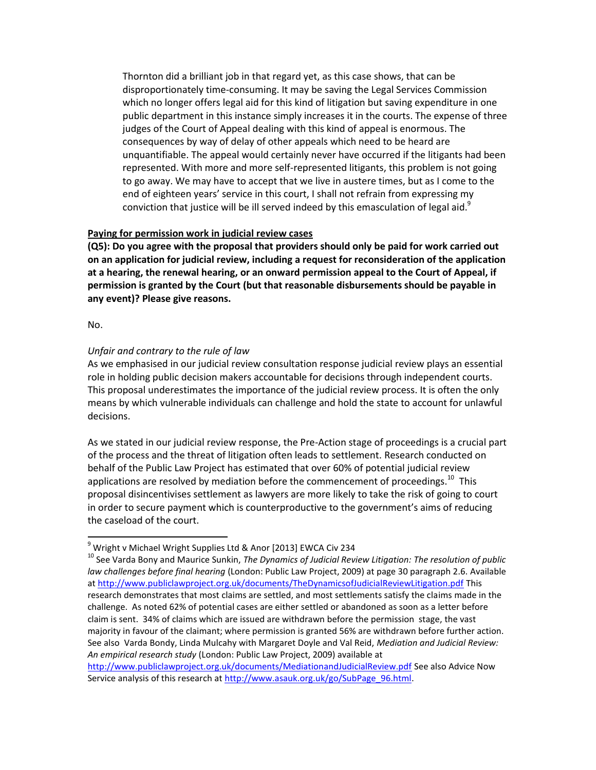Thornton did a brilliant job in that regard yet, as this case shows, that can be disproportionately time-consuming. It may be saving the Legal Services Commission which no longer offers legal aid for this kind of litigation but saving expenditure in one public department in this instance simply increases it in the courts. The expense of three judges of the Court of Appeal dealing with this kind of appeal is enormous. The consequences by way of delay of other appeals which need to be heard are unquantifiable. The appeal would certainly never have occurred if the litigants had been represented. With more and more self-represented litigants, this problem is not going to go away. We may have to accept that we live in austere times, but as I come to the end of eighteen years' service in this court, I shall not refrain from expressing my conviction that justice will be ill served indeed by this emasculation of legal aid. $^9$ 

### **Paying for permission work in judicial review cases**

**(Q5): Do you agree with the proposal that providers should only be paid for work carried out on an application for judicial review, including a request for reconsideration of the application at a hearing, the renewal hearing, or an onward permission appeal to the Court of Appeal, if permission is granted by the Court (but that reasonable disbursements should be payable in any event)? Please give reasons.** 

No.

### *Unfair and contrary to the rule of law*

As we emphasised in our judicial review consultation response judicial review plays an essential role in holding public decision makers accountable for decisions through independent courts. This proposal underestimates the importance of the judicial review process. It is often the only means by which vulnerable individuals can challenge and hold the state to account for unlawful decisions.

As we stated in our judicial review response, the Pre-Action stage of proceedings is a crucial part of the process and the threat of litigation often leads to settlement. Research conducted on behalf of the Public Law Project has estimated that over 60% of potential judicial review applications are resolved by mediation before the commencement of proceedings. $^{10}$  This proposal disincentivises settlement as lawyers are more likely to take the risk of going to court in order to secure payment which is counterproductive to the government's aims of reducing the caseload of the court.

 $^9$  Wright v Michael Wright Supplies Ltd & Anor [2013] EWCA Civ 234

<sup>10</sup> See Varda Bony and Maurice Sunkin, *The Dynamics of Judicial Review Litigation: The resolution of public law challenges before final hearing* (London: Public Law Project, 2009) at page 30 paragraph 2.6. Available a[t http://www.publiclawproject.org.uk/documents/TheDynamicsofJudicialReviewLitigation.pdf](http://www.publiclawproject.org.uk/documents/TheDynamicsofJudicialReviewLitigation.pdf) This research demonstrates that most claims are settled, and most settlements satisfy the claims made in the challenge. As noted 62% of potential cases are either settled or abandoned as soon as a letter before claim is sent. 34% of claims which are issued are withdrawn before the permission stage, the vast majority in favour of the claimant; where permission is granted 56% are withdrawn before further action. See also Varda Bondy, Linda Mulcahy with Margaret Doyle and Val Reid, *Mediation and Judicial Review: An empirical research study* (London: Public Law Project, 2009) available at

<http://www.publiclawproject.org.uk/documents/MediationandJudicialReview.pdf> See also Advice Now Service analysis of this research at [http://www.asauk.org.uk/go/SubPage\\_96.html.](http://www.asauk.org.uk/go/SubPage_96.html)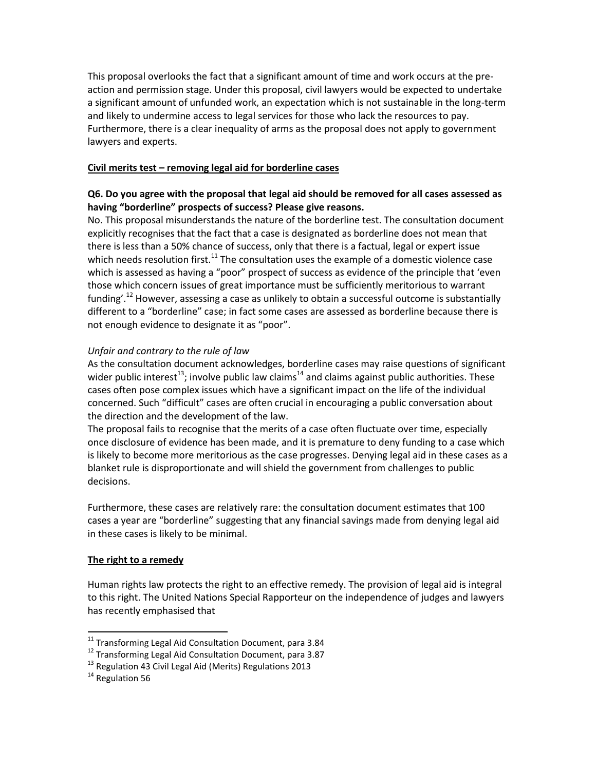This proposal overlooks the fact that a significant amount of time and work occurs at the preaction and permission stage. Under this proposal, civil lawyers would be expected to undertake a significant amount of unfunded work, an expectation which is not sustainable in the long-term and likely to undermine access to legal services for those who lack the resources to pay. Furthermore, there is a clear inequality of arms as the proposal does not apply to government lawyers and experts.

## **Civil merits test – removing legal aid for borderline cases**

# **Q6. Do you agree with the proposal that legal aid should be removed for all cases assessed as having "borderline" prospects of success? Please give reasons.**

No. This proposal misunderstands the nature of the borderline test. The consultation document explicitly recognises that the fact that a case is designated as borderline does not mean that there is less than a 50% chance of success, only that there is a factual, legal or expert issue which needs resolution first.<sup>11</sup> The consultation uses the example of a domestic violence case which is assessed as having a "poor" prospect of success as evidence of the principle that 'even those which concern issues of great importance must be sufficiently meritorious to warrant funding'.<sup>12</sup> However, assessing a case as unlikely to obtain a successful outcome is substantially different to a "borderline" case; in fact some cases are assessed as borderline because there is not enough evidence to designate it as "poor".

## *Unfair and contrary to the rule of law*

As the consultation document acknowledges, borderline cases may raise questions of significant wider public interest<sup>13</sup>; involve public law claims<sup>14</sup> and claims against public authorities. These cases often pose complex issues which have a significant impact on the life of the individual concerned. Such "difficult" cases are often crucial in encouraging a public conversation about the direction and the development of the law.

The proposal fails to recognise that the merits of a case often fluctuate over time, especially once disclosure of evidence has been made, and it is premature to deny funding to a case which is likely to become more meritorious as the case progresses. Denying legal aid in these cases as a blanket rule is disproportionate and will shield the government from challenges to public decisions.

Furthermore, these cases are relatively rare: the consultation document estimates that 100 cases a year are "borderline" suggesting that any financial savings made from denying legal aid in these cases is likely to be minimal.

### **The right to a remedy**

Human rights law protects the right to an effective remedy. The provision of legal aid is integral to this right. The United Nations Special Rapporteur on the independence of judges and lawyers has recently emphasised that

 $\overline{a}$ 

 $^{11}$  Transforming Legal Aid Consultation Document, para 3.84

<sup>12</sup> Transforming Legal Aid Consultation Document, para 3.87

<sup>&</sup>lt;sup>13</sup> Regulation 43 Civil Legal Aid (Merits) Regulations 2013

<sup>&</sup>lt;sup>14</sup> Regulation 56